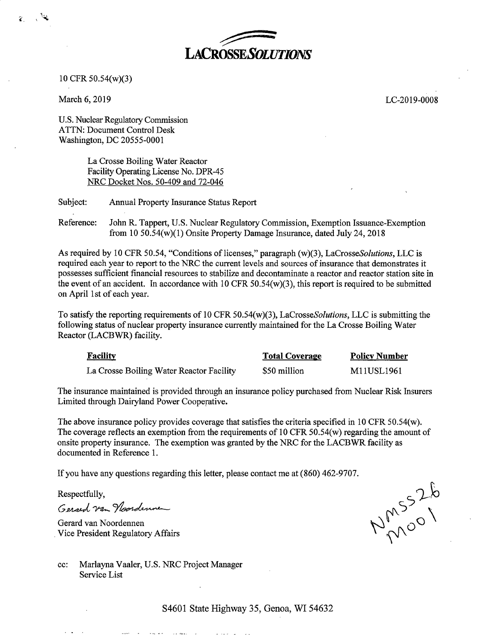

10 CFR 50.54(w)(3)

March 6, 2019

 $\ddot{\cdot}$ 

LC-2019-0008

U.S. Nuclear Regulatory Commission ATTN: Document Control Desk Washington, DC 20555-0001

> La Crosse Boiling Water Reactor Facility Operating License No. DPR-45 NRC Docket Nos. 50-409 and 72-046

Subject: Annual Property Insurance Status Report

Reference: John R. Tappert, U.S. Nuclear Regulatory Commission, Exemption Issuance-Exemption from 10 50.54(w)(l) Onsite Property Damage Insurance, dated July 24, 2018

As required by 10 CFR 50.54, "Conditions of licenses," paragraph (w)(3), *LaCrosseSolutions*, *LLC* is required each year to report to the NRC the current levels and sources of insurance that demonstrates it possesses sufficient financial resources to stabilize and decontaminate a reactor and reactor station site in the event of an accident. In accordance with 10 CFR  $50.54(w)(3)$ , this report is required to be submitted on April 1st of each year.

To satisfy the reporting requirements of 10 CFR 50.54(w)(3), *LaCrosseSolutions,* LLC is submitting the following status of nuclear property insurance currently maintained for the La Crosse Boiling Water Reactor (LACBWR) facility.

| <b>Facility</b>                          | <b>Total Coverage</b> | <b>Policy Number</b> |
|------------------------------------------|-----------------------|----------------------|
| La Crosse Boiling Water Reactor Facility | \$50 million          | M11USL1961           |

The insurance maintained is provided through an insurance policy purchased from Nuclear Risk Insurers Limited through Dairyland Power Cooperative.

The above insurance policy provides coverage that satisfies the criteria specified in 10 CFR 50.54(w). The coverage reflects an exemption from the requirements of 10 CFR 50.54(w) regarding the amount of onsite property insurance. The exemption was granted by the NRC for the LACBWR facility as documented in Reference 1.

If you have any questions regarding this letter, please contact me at (860) 462-9707.

Respectfully,

Gerard van Naardenne

Gerard van Noordennen . Vice President Regulatory Affairs

NMOOT

cc: Marlayna Vaaler, U.S. NRC Project Manager Service List

and the second service of the service of the service of the service of the service of the service of the service of the service of the service of the service of the service of the service of the service of the service of t

and the state

S4601 State Highway 35, Genoa, WI 54632

 $\mathbf{L}$  . The set of  $\mathbf{L}$